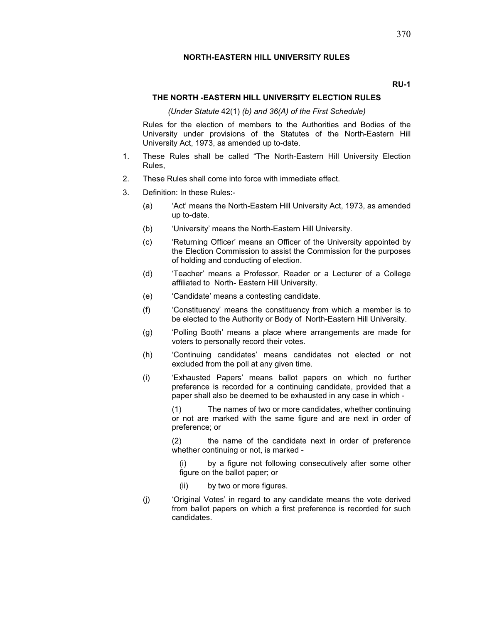#### RU-1

#### THE NORTH -EASTERN HILL UNIVERSITY ELECTION RULES

(Under Statute 42(1) (b) and  $36(A)$  of the First Schedule)

Rules for the election of members to the Authorities and Bodies of the University under provisions of the Statutes of the North-Eastern Hill University Act, 1973, as amended up to-date.

- 1. These Rules shall be called "The North-Eastern Hill University Election Rules,
- 2. These Rules shall come into force with immediate effect.
- 3. Definition: In these Rules:-
	- (a) 'Act' means the North-Eastern Hill University Act, 1973, as amended up to-date.
	- (b) 'University' means the North-Eastern Hill University.
	- (c) 'Returning Officer' means an Officer of the University appointed by the Election Commission to assist the Commission for the purposes of holding and conducting of election.
	- (d) 'Teacher' means a Professor, Reader or a Lecturer of a College affiliated to North-Eastern Hill University.
	- (e) 'Candidate' means a contesting candidate.
	- (f) 'Constituency'means the constituency from which a member is to be elected to the Authority or Body of North-Eastern Hill University.
	- (g) 'Polling Booth'means a place where arrangements are made for voters to personally record their votes.
	- (h) 'Continuing candidates' means candidates not elected or not excluded from the poll at any given time.
	- (i) 'Exhausted Papers' means ballot papers on which no further preference is recorded for a continuing candidate, provided that a paper shall also be deemed to be exhausted in any case in which -

(1) The names of two or more candidates, whether continuing or not are marked with the same figure and are next in order of preference; or

 $(2)$  the name of the candidate next in order of preference whether continuing or not, is marked -

by a figure not following consecutively after some other figure on the ballot paper; or

- (ii) by two or more figures.
- (j) 'Original Votes' in regard to any candidate means the vote derived from ballot papers on which a first preference is recorded for such candidates.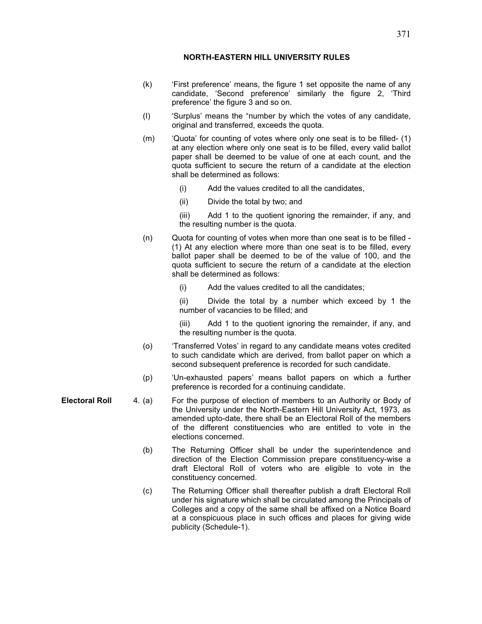- (k) 'First preference' means, the figure 1 set opposite the name of any candidate, 'Second preference' similarly the figure 2, 'Third preference' the figure 3 and so on.
- (I) 'Surplus' means the "number by which the votes of any candidate, original and transferred, exceeds the quota.
- (m) 'Quota' for counting of votes where only one seat is to be filled- (1) at any election where only one seat is to be filled, every valid ballot paper shall be deemed to be value of one at each count, and the quota sufficient to secure the return of a candidate at the election shall be determined as follows:
	- (i) Add the values credited to all the candidates,
	- (ii) Divide the total by two; and

(iii) Add 1 to the quotient ignoring the remainder, if any, and the resulting number is the quota.

- (n) Quota for counting of votes when more than one seat is to be filled (1) At any election where more than one seat is to be filled, every ballot paper shall be deemed to be of the value of 100, and the quota sufficient to secure the return of a candidate at the election shall be determined as follows:
	- (i) Add the values credited to all the candidates;

(ii) Divide the total by a number which exceed by 1 the number of vacancies to be filled; and

(iii) Add 1 to the quotient ignoring the remainder, if any, and the resulting number is the quota.

- (o) 'Transferred Votes' in regard to any candidate means votes credited to such candidate which are derived, from ballot paper on which a second subsequent preference is recorded for such candidate.
- (p) 'Un-exhausted papers' means ballot papers on which a further preference is recorded for a continuing candidate.
- Electoral Roll 4. (a) For the purpose of election of members to an Authority or Body of the University under the North-Eastern Hill University Act, 1973, as amended upto-date, there shall be an Electoral Roll of the members of the different constituencies who are entitled to vote in the elections concerned.
	- (b) The Returning Officer shall be under the superintendence and direction of the Election Commission prepare constituency-wise a draft Electoral Roll of voters who are eligible to vote in the constituency concerned.
	- (c) The Returning Officer shall thereafter publish a draft Electoral Roll under his signature which shall be circulated among the Principals of Colleges and a copy of the same shall be affixed on a Notice Board at a conspicuous place in such offices and places for giving wide publicity (Schedule-1).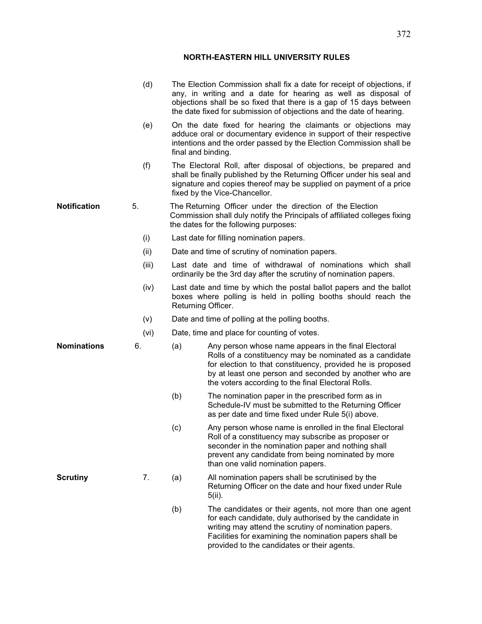|                     | (d)   |                                             | The Election Commission shall fix a date for receipt of objections, if<br>any, in writing and a date for hearing as well as disposal of<br>objections shall be so fixed that there is a gap of 15 days between<br>the date fixed for submission of objections and the date of hearing.        |
|---------------------|-------|---------------------------------------------|-----------------------------------------------------------------------------------------------------------------------------------------------------------------------------------------------------------------------------------------------------------------------------------------------|
|                     | (e)   |                                             | On the date fixed for hearing the claimants or objections may<br>adduce oral or documentary evidence in support of their respective<br>intentions and the order passed by the Election Commission shall be<br>final and binding.                                                              |
|                     | (f)   |                                             | The Electoral Roll, after disposal of objections, be prepared and<br>shall be finally published by the Returning Officer under his seal and<br>signature and copies thereof may be supplied on payment of a price<br>fixed by the Vice-Chancellor.                                            |
| <b>Notification</b> | 5.    |                                             | The Returning Officer under the direction of the Election<br>Commission shall duly notify the Principals of affiliated colleges fixing<br>the dates for the following purposes:                                                                                                               |
|                     | (i)   |                                             | Last date for filling nomination papers.                                                                                                                                                                                                                                                      |
|                     | (ii)  |                                             | Date and time of scrutiny of nomination papers.                                                                                                                                                                                                                                               |
|                     | (iii) |                                             | Last date and time of withdrawal of nominations which shall<br>ordinarily be the 3rd day after the scrutiny of nomination papers.                                                                                                                                                             |
|                     | (iv)  |                                             | Last date and time by which the postal ballot papers and the ballot<br>boxes where polling is held in polling booths should reach the<br>Returning Officer.                                                                                                                                   |
|                     | (v)   |                                             | Date and time of polling at the polling booths.                                                                                                                                                                                                                                               |
|                     | (vi)  | Date, time and place for counting of votes. |                                                                                                                                                                                                                                                                                               |
| <b>Nominations</b>  | 6.    | (a)                                         | Any person whose name appears in the final Electoral<br>Rolls of a constituency may be nominated as a candidate<br>for election to that constituency, provided he is proposed<br>by at least one person and seconded by another who are<br>the voters according to the final Electoral Rolls. |
|                     |       | (b)                                         | The nomination paper in the prescribed form as in<br>Schedule-IV must be submitted to the Returning Officer<br>as per date and time fixed under Rule 5(i) above.                                                                                                                              |
|                     |       | (c)                                         | Any person whose name is enrolled in the final Electoral<br>Roll of a constituency may subscribe as proposer or<br>seconder in the nomination paper and nothing shall<br>prevent any candidate from being nominated by more<br>than one valid nomination papers.                              |
| <b>Scrutiny</b>     | 7.    | (a)                                         | All nomination papers shall be scrutinised by the<br>Returning Officer on the date and hour fixed under Rule<br>$5(ii)$ .                                                                                                                                                                     |
|                     |       | (b)                                         | The candidates or their agents, not more than one agent<br>for each candidate, duly authorised by the candidate in<br>writing may attend the scrutiny of nomination papers.<br>Facilities for examining the nomination papers shall be<br>provided to the candidates or their agents.         |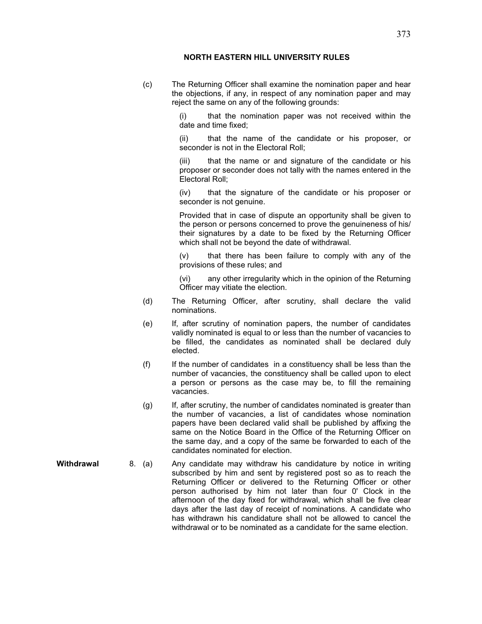(c) The Returning Officer shall examine the nomination paper and hear the objections, if any, in respect of any nomination paper and may reject the same on any of the following grounds:

> that the nomination paper was not received within the date and time fixed;

> (ii) that the name of the candidate or his proposer, or seconder is not in the Electoral Roll:

> (iii) that the name or and signature of the candidate or his proposer or seconder does not tally with the names entered in the Electoral Roll;

> (iv) that the signature of the candidate or his proposer or seconder is not genuine.

> Provided that in case of dispute an opportunity shall be given to the person or persons concerned to prove the genuineness of his/ their signatures by a date to be fixed by the Returning Officer which shall not be beyond the date of withdrawal.

> (v) that there has been failure to comply with any of the provisions of these rules; and

> (vi) any other irregularity which in the opinion of the Returning Officer may vitiate the election.

- (d) The Returning Officer, after scrutiny, shall declare the valid nominations.
- (e) If, after scrutiny of nomination papers, the number of candidates validly nominated is equal to or less than the number of vacancies to be filled, the candidates as nominated shall be declared duly elected.
- (f) If the number of candidates in a constituency shall be less than the number of vacancies, the constituency shall be called upon to elect a person or persons as the case may be, to fill the remaining vacancies.
- (g) If, after scrutiny, the number of candidates nominated is greater than the number of vacancies, a list of candidates whose nomination papers have been declared valid shall be published by affixing the same on the Notice Board in the Office of the Returning Officer on the same day, and a copy of the same be forwarded to each of the candidates nominated for election.
- Withdrawal 8. (a) Any candidate may withdraw his candidature by notice in writing subscribed by him and sent by registered post so as to reach the Returning Officer or delivered to the Returning Officer or other person authorised by him not later than four 0'Clock in the afternoon of the day fixed for withdrawal, which shall be five clear days after the last day of receipt of nominations. A candidate who has withdrawn his candidature shall not be allowed to cancel the withdrawal or to be nominated as a candidate for the same election.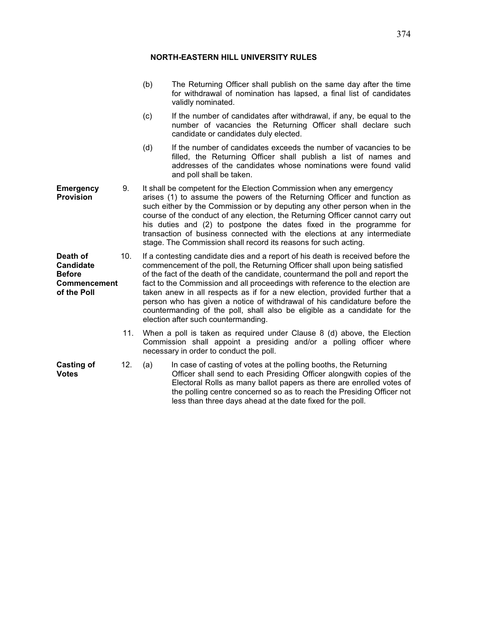|                                                                              |     | (b)                                                                                                                                                                                                                                                                                                                                                                                                                                                                                                                                  | The Returning Officer shall publish on the same day after the time<br>for withdrawal of nomination has lapsed, a final list of candidates<br>validly nominated.                                                                                                                                                                                                                                                                                                                                                                                                                                                   |  |
|------------------------------------------------------------------------------|-----|--------------------------------------------------------------------------------------------------------------------------------------------------------------------------------------------------------------------------------------------------------------------------------------------------------------------------------------------------------------------------------------------------------------------------------------------------------------------------------------------------------------------------------------|-------------------------------------------------------------------------------------------------------------------------------------------------------------------------------------------------------------------------------------------------------------------------------------------------------------------------------------------------------------------------------------------------------------------------------------------------------------------------------------------------------------------------------------------------------------------------------------------------------------------|--|
|                                                                              |     | (c)                                                                                                                                                                                                                                                                                                                                                                                                                                                                                                                                  | If the number of candidates after withdrawal, if any, be equal to the<br>number of vacancies the Returning Officer shall declare such<br>candidate or candidates duly elected.                                                                                                                                                                                                                                                                                                                                                                                                                                    |  |
|                                                                              |     | (d)                                                                                                                                                                                                                                                                                                                                                                                                                                                                                                                                  | If the number of candidates exceeds the number of vacancies to be<br>filled, the Returning Officer shall publish a list of names and<br>addresses of the candidates whose nominations were found valid<br>and poll shall be taken.                                                                                                                                                                                                                                                                                                                                                                                |  |
| <b>Emergency</b><br><b>Provision</b>                                         | 9.  | It shall be competent for the Election Commission when any emergency<br>arises (1) to assume the powers of the Returning Officer and function as<br>such either by the Commission or by deputing any other person when in the<br>course of the conduct of any election, the Returning Officer cannot carry out<br>his duties and (2) to postpone the dates fixed in the programme for<br>transaction of business connected with the elections at any intermediate<br>stage. The Commission shall record its reasons for such acting. |                                                                                                                                                                                                                                                                                                                                                                                                                                                                                                                                                                                                                   |  |
| Death of<br><b>Candidate</b><br><b>Before</b><br>Commencement<br>of the Poll | 10. |                                                                                                                                                                                                                                                                                                                                                                                                                                                                                                                                      | If a contesting candidate dies and a report of his death is received before the<br>commencement of the poll, the Returning Officer shall upon being satisfied<br>of the fact of the death of the candidate, countermand the poll and report the<br>fact to the Commission and all proceedings with reference to the election are<br>taken anew in all respects as if for a new election, provided further that a<br>person who has given a notice of withdrawal of his candidature before the<br>countermanding of the poll, shall also be eligible as a candidate for the<br>election after such countermanding. |  |
|                                                                              | 11. | When a poll is taken as required under Clause 8 (d) above, the Election<br>Commission shall appoint a presiding and/or a polling officer where<br>necessary in order to conduct the poll.                                                                                                                                                                                                                                                                                                                                            |                                                                                                                                                                                                                                                                                                                                                                                                                                                                                                                                                                                                                   |  |
| <b>Casting of</b><br><b>Votes</b>                                            | 12. | (a)                                                                                                                                                                                                                                                                                                                                                                                                                                                                                                                                  | In case of casting of votes at the polling booths, the Returning<br>Officer shall send to each Presiding Officer alongwith copies of the<br>Electoral Rolls as many ballot papers as there are enrolled votes of<br>the polling centre concerned so as to reach the Presiding Officer not<br>less than three days ahead at the date fixed for the poll.                                                                                                                                                                                                                                                           |  |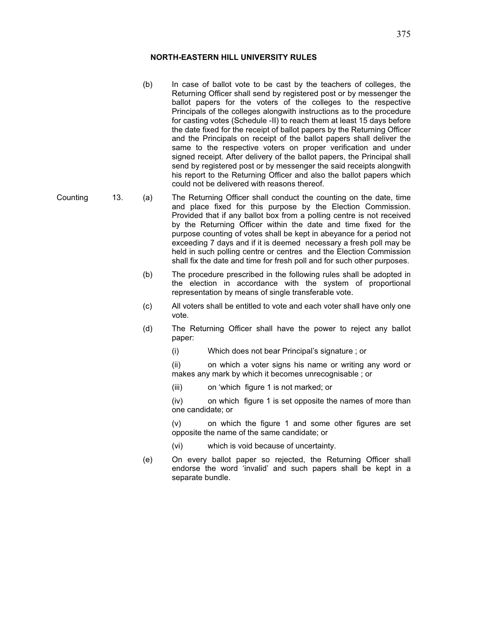- (b) In case of ballot vote to be cast by the teachers of colleges, the Returning Officer shall send by registered post or by messenger the ballot papers for the voters of the colleges to the respective Principals of the colleges alongwith instructions as to the procedure for casting votes (Schedule -II) to reach them at least 15 days before the date fixed for the receipt of ballot papers by the Returning Officer and the Principals on receipt of the ballot papers shall deliver the same to the respective voters on proper verification and under signed receipt. After delivery of the ballot papers, the Principal shall send by registered post or by messenger the said receipts alongwith his report to the Returning Officer and also the ballot papers which could not be delivered with reasons thereof.
- Counting 13. (a) The Returning Officer shall conduct the counting on the date, time and place fixed for this purpose by the Election Commission. Provided that if any ballot box from a polling centre is not received by the Returning Officer within the date and time fixed for the purpose counting of votes shall be kept in abeyance for a period not exceeding 7 days and if it is deemed necessary a fresh poll may be held in such polling centre or centres and the Election Commission shall fix the date and time for fresh poll and for such other purposes.
	- (b) The procedure prescribed in the following rules shall be adopted in the election in accordance with the system of proportional representation by means of single transferable vote.
	- (c) All voters shall be entitled to vote and each voter shall have only one vote.
	- (d) The Returning Officer shall have the power to reject any ballot paper:
		- (i) Which does not bear Principal's signature ; or

(ii) on which a voter signs his name or writing any word or makes any mark by which it becomes unrecognisable ; or

(iii) on 'which figure 1 is not marked; or

(iv) on which figure 1 is set opposite the names of more than one candidate; or

(v) on which the figure 1 and some other figures are set opposite the name of the same candidate; or

- (vi) which is void because of uncertainty.
- (e) On every ballot paper so rejected, the Returning Officer shall endorse the word 'invalid' and such papers shall be kept in a separate bundle.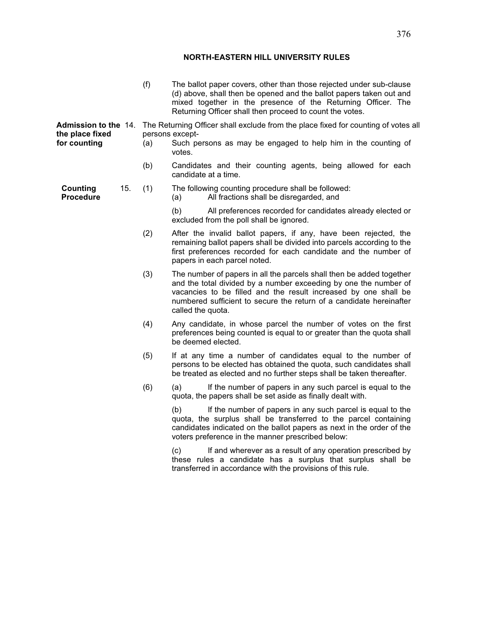|                                                                |     | (f) | The ballot paper covers, other than those rejected under sub-clause<br>(d) above, shall then be opened and the ballot papers taken out and<br>mixed together in the presence of the Returning Officer. The<br>Returning Officer shall then proceed to count the votes.                                  |  |  |
|----------------------------------------------------------------|-----|-----|---------------------------------------------------------------------------------------------------------------------------------------------------------------------------------------------------------------------------------------------------------------------------------------------------------|--|--|
| <b>Admission to the 14.</b><br>the place fixed<br>for counting |     | (a) | The Returning Officer shall exclude from the place fixed for counting of votes all<br>persons except-<br>Such persons as may be engaged to help him in the counting of<br>votes.                                                                                                                        |  |  |
|                                                                |     | (b) | Candidates and their counting agents, being allowed for each<br>candidate at a time.                                                                                                                                                                                                                    |  |  |
| <b>Counting</b><br><b>Procedure</b>                            | 15. | (1) | The following counting procedure shall be followed:<br>All fractions shall be disregarded, and<br>(a)                                                                                                                                                                                                   |  |  |
|                                                                |     |     | (b)<br>All preferences recorded for candidates already elected or<br>excluded from the poll shall be ignored.                                                                                                                                                                                           |  |  |
|                                                                |     | (2) | After the invalid ballot papers, if any, have been rejected, the<br>remaining ballot papers shall be divided into parcels according to the<br>first preferences recorded for each candidate and the number of<br>papers in each parcel noted.                                                           |  |  |
|                                                                |     | (3) | The number of papers in all the parcels shall then be added together<br>and the total divided by a number exceeding by one the number of<br>vacancies to be filled and the result increased by one shall be<br>numbered sufficient to secure the return of a candidate hereinafter<br>called the quota. |  |  |
|                                                                |     | (4) | Any candidate, in whose parcel the number of votes on the first<br>preferences being counted is equal to or greater than the quota shall<br>be deemed elected.                                                                                                                                          |  |  |
|                                                                |     | (5) | If at any time a number of candidates equal to the number of<br>persons to be elected has obtained the quota, such candidates shall<br>be treated as elected and no further steps shall be taken thereafter.                                                                                            |  |  |
|                                                                |     | (6) | (a)<br>If the number of papers in any such parcel is equal to the<br>quota, the papers shall be set aside as finally dealt with.                                                                                                                                                                        |  |  |
|                                                                |     |     | (b)<br>If the number of papers in any such parcel is equal to the<br>quota, the surplus shall be transferred to the parcel containing<br>candidates indicated on the ballot papers as next in the order of the<br>voters preference in the manner prescribed below:                                     |  |  |
|                                                                |     |     | If and wherever as a result of any operation prescribed by<br>(c)<br>these rules a candidate has a surplus that surplus shall be<br>transferred in accordance with the provisions of this rule.                                                                                                         |  |  |
|                                                                |     |     |                                                                                                                                                                                                                                                                                                         |  |  |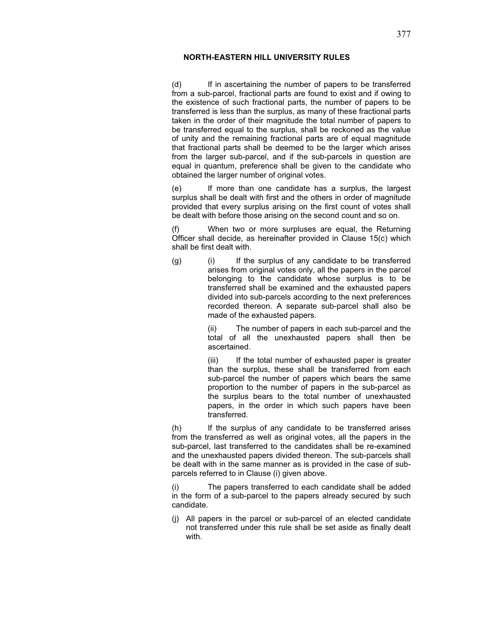(d) If in ascertaining the number of papers to be transferred from a sub-parcel, fractional parts are found to exist and if owing to the existence of such fractional parts, the number of papers to be transferred is less than the surplus, as many of these fractional parts taken in the order of their magnitude the total number of papers to be transferred equal to the surplus, shall be reckoned as the value of unity and the remaining fractional parts are of equal magnitude that fractional parts shall be deemed to be the larger which arises from the larger sub-parcel, and if the sub-parcels in question are equal in quantum, preference shall be given to the candidate who obtained the larger number of original votes.

(e) If more than one candidate has a surplus, the largest surplus shall be dealt with first and the others in order of magnitude provided that every surplus arising on the first count of votes shall be dealt with before those arising on the second count and so on.

(f) When two or more surpluses are equal, the Returning Officer shall decide, as hereinafter provided in Clause 15(c) which shall be first dealt with.

(g) (i) If the surplus of any candidate to be transferred arises from original votes only, all the papers in the parcel belonging to the candidate whose surplus is to be transferred shall be examined and the exhausted papers divided into sub-parcels according to the next preferences recorded thereon. A separate sub-parcel shall also be made of the exhausted papers.

> (ii) The number of papers in each sub-parcel and the total of all the unexhausted papers shall then be ascertained.

> (iii) If the total number of exhausted paper is greater than the surplus, these shall be transferred from each sub-parcel the number of papers which bears the same proportion to the number of papers in the sub-parcel as the surplus bears to the total number of unexhausted papers, in the order in which such papers have been transferred.

(h) If the surplus of any candidate to be transferred arises from the transferred as well as original votes, all the papers in the sub-parcel, last transferred to the candidates shall be re-examined and the unexhausted papers divided thereon. The sub-parcels shall be dealt with in the same manner as is provided in the case of subparcels referred to in Clause (i) given above.

(i) The papers transferred to each candidate shall be added in the form of a sub-parcel to the papers already secured by such candidate.

(j) All papers in the parcel or sub-parcel of an elected candidate not transferred under this rule shall be set aside as finally dealt with.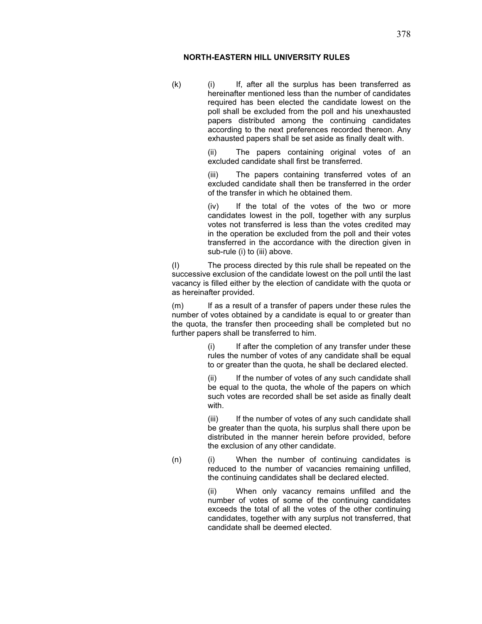(k) (i) If, after all the surplus has been transferred as hereinafter mentioned less than the number of candidates required has been elected the candidate lowest on the poll shall be excluded from the poll and his unexhausted papers distributed among the continuing candidates according to the next preferences recorded thereon. Any exhausted papers shall be set aside as finally dealt with.

> (ii) The papers containing original votes of an excluded candidate shall first be transferred.

> (iii) The papers containing transferred votes of an excluded candidate shall then be transferred in the order of the transfer in which he obtained them.

> (iv) If the total of the votes of the two or more candidates lowest in the poll, together with any surplus votes not transferred is less than the votes credited may in the operation be excluded from the poll and their votes transferred in the accordance with the direction given in sub-rule (i) to (iii) above.

(I) The process directed by this rule shall be repeated on the successive exclusion of the candidate lowest on the poll until the last vacancy is filled either by the election of candidate with the quota or as hereinafter provided.

(m) If as a result of a transfer of papers under these rules the number of votes obtained by a candidate is equal to or greater than the quota, the transfer then proceeding shall be completed but no further papers shall be transferred to him.

> (i) If after the completion of any transfer under these rules the number of votes of any candidate shall be equal to or greater than the quota, he shall be declared elected.

> If the number of votes of any such candidate shall be equal to the quota, the whole of the papers on which such votes are recorded shall be set aside as finally dealt with.

> (iii) If the number of votes of any such candidate shall be greater than the quota, his surplus shall there upon be distributed in the manner herein before provided, before the exclusion of any other candidate.

(n) (i) When the number of continuing candidates is reduced to the number of vacancies remaining unfilled, the continuing candidates shall be declared elected.

> (ii) When only vacancy remains unfilled and the number of votes of some of the continuing candidates exceeds the total of all the votes of the other continuing candidates, together with any surplus not transferred, that candidate shall be deemed elected.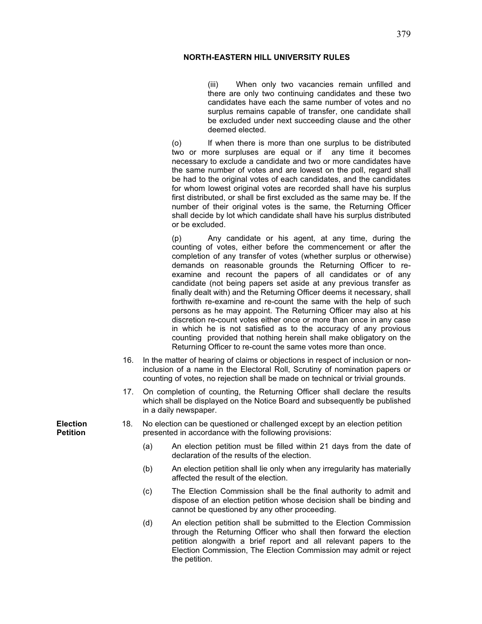(iii) When only two vacancies remain unfilled and there are only two continuing candidates and these two candidates have each the same number of votes and no surplus remains capable of transfer, one candidate shall be excluded under next succeeding clause and the other deemed elected.

(o) If when there is more than one surplus to be distributed two or more surpluses are equal or if any time it becomes necessary to exclude a candidate and two or more candidates have the same number of votes and are lowest on the poll, regard shall be had to the original votes of each candidates, and the candidates for whom lowest original votes are recorded shall have his surplus first distributed, or shall be first excluded as the same may be. If the number of their original votes is the same, the Returning Officer shall decide by lot which candidate shall have his surplus distributed or be excluded.

(p) Any candidate or his agent, at any time, during the counting of votes, either before the commencement or after the completion of any transfer of votes (whether surplus or otherwise) demands on reasonable grounds the Returning Officer to reexamine and recount the papers of all candidates or of any candidate (not being papers set aside at any previous transfer as finally dealt with) and the Returning Officer deems it necessary, shall forthwith re-examine and re-count the same with the help of such persons as he may appoint. The Returning Officer may also at his discretion re-count votes either once or more than once in any case in which he is not satisfied as to the accuracy of any provious counting provided that nothing herein shall make obligatory on the Returning Officer to re-count the same votes more than once.

- 16. In the matter of hearing of claims or objections in respect of inclusion or noninclusion of a name in the Electoral Roll, Scrutiny of nomination papers or counting of votes, no rejection shall be made on technical or trivial grounds.
- 17. On completion of counting, the Returning Officer shall declare the results which shall be displayed on the Notice Board and subsequently be published in a daily newspaper.
- Election 18. No election can be questioned or challenged except by an election petition **Petition presented in accordance with the following provisions:** 
	- (a) An election petition must be filled within 21 days from the date of declaration of the results of the election.
	- (b) An election petition shall lie only when any irregularity has materially affected the result of the election.
	- (c) The Election Commission shall be the final authority to admit and dispose of an election petition whose decision shall be binding and cannot be questioned by any other proceeding.
	- (d) An election petition shall be submitted to the Election Commission through the Returning Officer who shall then forward the election petition alongwith a brief report and all relevant papers to the Election Commission, The Election Commission may admit or reject the petition.